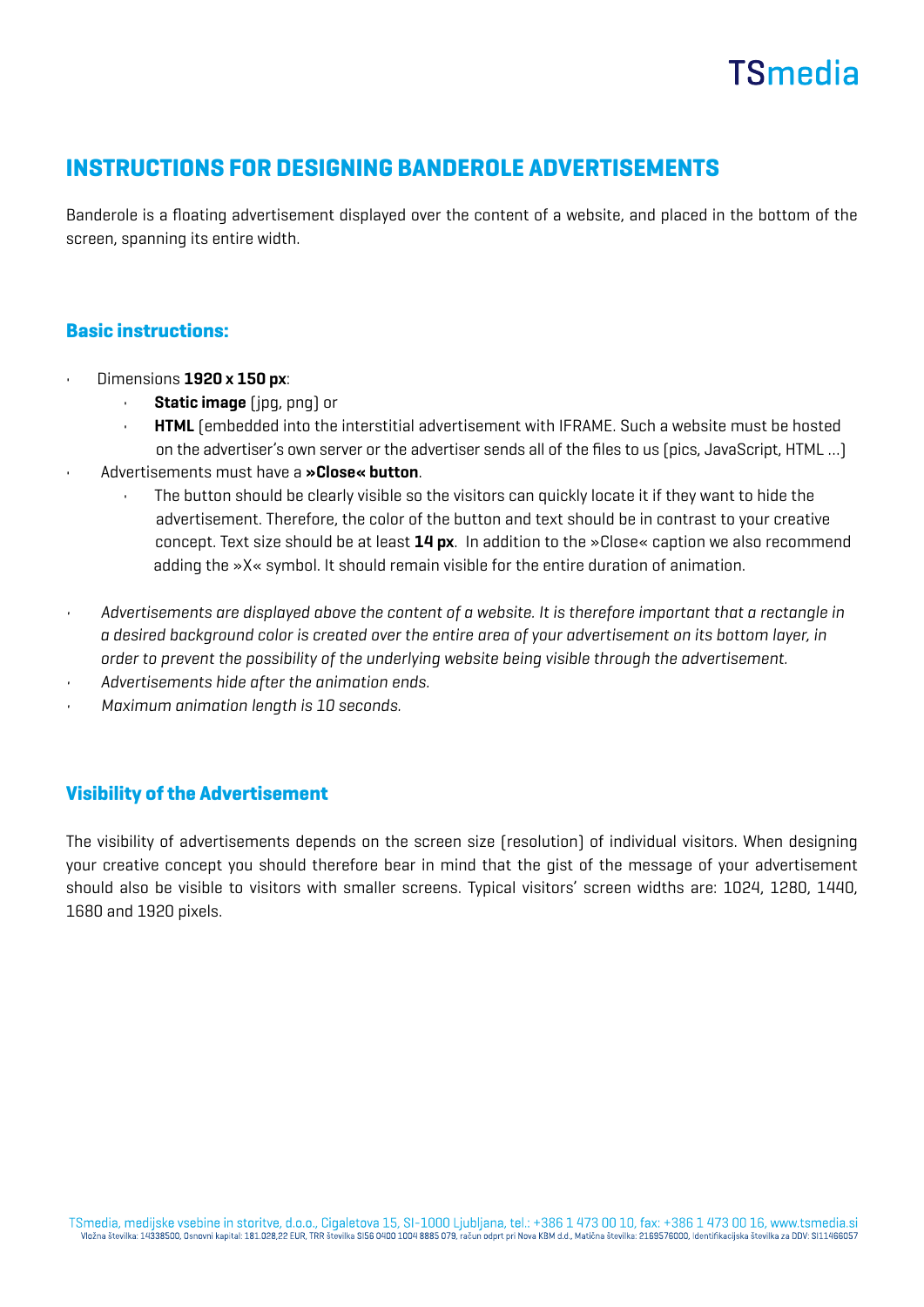# **TSmedia**

### INSTRUCTIONS FOR DESIGNING BANDEROLE ADVERTISEMENTS

Banderole is a floating advertisement displayed over the content of a website, and placed in the bottom of the screen, spanning its entire width.

### Basic instructions:

- Dimensions 1920 x 150 px:
	- Static image (ipg, png) or
	- HTML (embedded into the interstitial advertisement with IFRAME. Such a website must be hosted on the advertiser's own server or the advertiser sends all of the files to us (pics, JavaScript, HTML …)
- Advertisements must have a »Close« button.
	- The button should be clearly visible so the visitors can quickly locate it if they want to hide the advertisement. Therefore, the color of the button and text should be in contrast to your creative concept. Text size should be at least 14 px. In addition to the »Close« caption we also recommend adding the »X« symbol. It should remain visible for the entire duration of animation.
- Advertisements are displayed above the content of a website. It is therefore important that a rectangle in a desired background color is created over the entire area of your advertisement on its bottom layer, in order to prevent the possibility of the underlying website being visible through the advertisement.
- Advertisements hide after the animation ends.
- Maximum animation length is 10 seconds.

### Visibility of the Advertisement

The visibility of advertisements depends on the screen size (resolution) of individual visitors. When designing your creative concept you should therefore bear in mind that the gist of the message of your advertisement should also be visible to visitors with smaller screens. Typical visitors' screen widths are: 1024, 1280, 1440, 1680 and 1920 pixels.